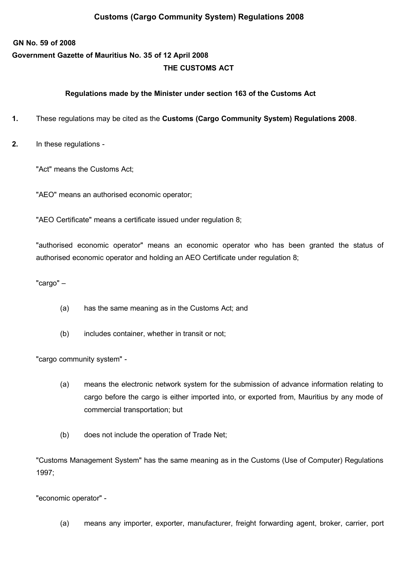## **Customs (Cargo Community System) Regulations 2008**

## **GN No. 59 of 2008 Government Gazette of Mauritius No. 35 of 12 April 2008 THE CUSTOMS ACT**

## **Regulations made by the Minister under section 163 of the Customs Act**

- **1.** These regulations may be cited as the **Customs (Cargo Community System) Regulations 2008**.
- **2.** In these regulations -

"Act" means the Customs Act;

"AEO" means an authorised economic operator;

"AEO Certificate" means a certificate issued under regulation 8;

"authorised economic operator" means an economic operator who has been granted the status of authorised economic operator and holding an AEO Certificate under regulation 8;

"cargo" –

- (a) has the same meaning as in the Customs Act; and
- (b) includes container, whether in transit or not;

"cargo community system" -

- (a) means the electronic network system for the submission of advance information relating to cargo before the cargo is either imported into, or exported from, Mauritius by any mode of commercial transportation; but
- (b) does not include the operation of Trade Net;

"Customs Management System" has the same meaning as in the Customs (Use of Computer) Regulations 1997;

"economic operator" -

(a) means any importer, exporter, manufacturer, freight forwarding agent, broker, carrier, port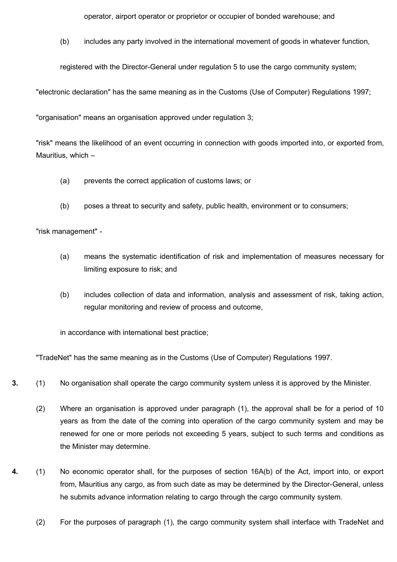operator, airport operator or proprietor or occupier of bonded warehouse; and

(b) includes any party involved in the international movement of goods in whatever function,

registered with the Director-General under regulation 5 to use the cargo community system;

"electronic declaration" has the same meaning as in the Customs (Use of Computer) Regulations 1997;

"organisation" means an organisation approved under regulation 3;

"risk" means the likelihood of an event occurring in connection with goods imported into, or exported from, Mauritius, which –

- (a) prevents the correct application of customs laws; or
- (b) poses a threat to security and safety, public health, environment or to consumers;

"risk management" -

- (a) means the systematic identification of risk and implementation of measures necessary for limiting exposure to risk; and
- (b) includes collection of data and information, analysis and assessment of risk, taking action, regular monitoring and review of process and outcome,

in accordance with international best practice;

"TradeNet" has the same meaning as in the Customs (Use of Computer) Regulations 1997.

- **3.** (1) No organisation shall operate the cargo community system unless it is approved by the Minister.
	- (2) Where an organisation is approved under paragraph (1), the approval shall be for a period of 10 years as from the date of the coming into operation of the cargo community system and may be renewed for one or more periods not exceeding 5 years, subject to such terms and conditions as the Minister may determine.
- **4.** (1) No economic operator shall, for the purposes of section 16A(b) of the Act, import into, or export from, Mauritius any cargo, as from such date as may be determined by the Director-General, unless he submits advance information relating to cargo through the cargo community system.
	- (2) For the purposes of paragraph (1), the cargo community system shall interface with TradeNet and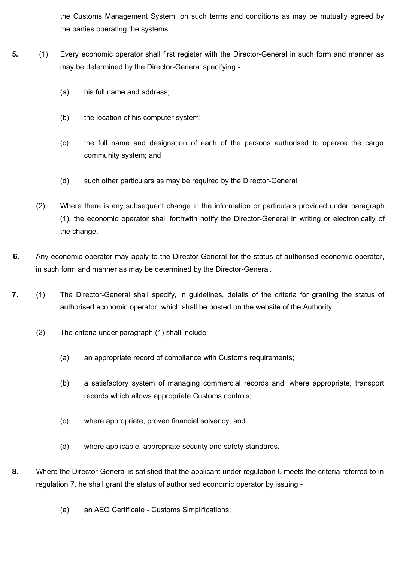the Customs Management System, on such terms and conditions as may be mutually agreed by the parties operating the systems.

- **5.** (1) Every economic operator shall first register with the Director-General in such form and manner as may be determined by the Director-General specifying -
	- (a) his full name and address;
	- (b) the location of his computer system;
	- (c) the full name and designation of each of the persons authorised to operate the cargo community system; and
	- (d) such other particulars as may be required by the Director-General.
	- (2) Where there is any subsequent change in the information or particulars provided under paragraph (1), the economic operator shall forthwith notify the Director-General in writing or electronically of the change.
- **6.** Any economic operator may apply to the Director-General for the status of authorised economic operator, in such form and manner as may be determined by the Director-General.
- **7.** (1) The Director-General shall specify, in guidelines, details of the criteria for granting the status of authorised economic operator, which shall be posted on the website of the Authority.
	- (2) The criteria under paragraph (1) shall include
		- (a) an appropriate record of compliance with Customs requirements;
		- (b) a satisfactory system of managing commercial records and, where appropriate, transport records which allows appropriate Customs controls;
		- (c) where appropriate, proven financial solvency; and
		- (d) where applicable, appropriate security and safety standards.
- **8.** Where the Director-General is satisfied that the applicant under regulation 6 meets the criteria referred to in regulation 7, he shall grant the status of authorised economic operator by issuing -
	- (a) an AEO Certificate Customs Simplifications;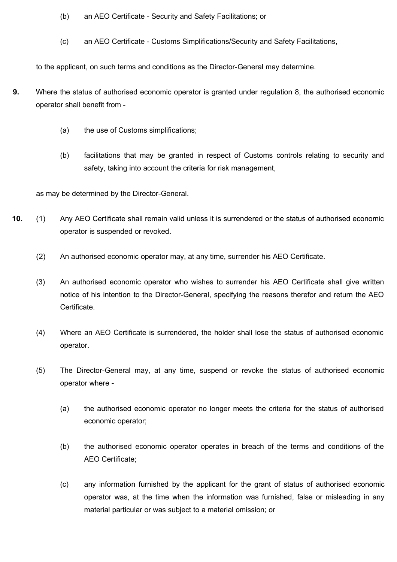- (b) an AEO Certificate Security and Safety Facilitations; or
- (c) an AEO Certificate Customs Simplifications/Security and Safety Facilitations,

to the applicant, on such terms and conditions as the Director-General may determine.

- **9.** Where the status of authorised economic operator is granted under regulation 8, the authorised economic operator shall benefit from -
	- (a) the use of Customs simplifications;
	- (b) facilitations that may be granted in respect of Customs controls relating to security and safety, taking into account the criteria for risk management,

as may be determined by the Director-General.

- **10.** (1) Any AEO Certificate shall remain valid unless it is surrendered or the status of authorised economic operator is suspended or revoked.
	- (2) An authorised economic operator may, at any time, surrender his AEO Certificate.
	- (3) An authorised economic operator who wishes to surrender his AEO Certificate shall give written notice of his intention to the Director-General, specifying the reasons therefor and return the AEO Certificate.
	- (4) Where an AEO Certificate is surrendered, the holder shall lose the status of authorised economic operator.
	- (5) The Director-General may, at any time, suspend or revoke the status of authorised economic operator where -
		- (a) the authorised economic operator no longer meets the criteria for the status of authorised economic operator;
		- (b) the authorised economic operator operates in breach of the terms and conditions of the AEO Certificate;
		- (c) any information furnished by the applicant for the grant of status of authorised economic operator was, at the time when the information was furnished, false or misleading in any material particular or was subject to a material omission; or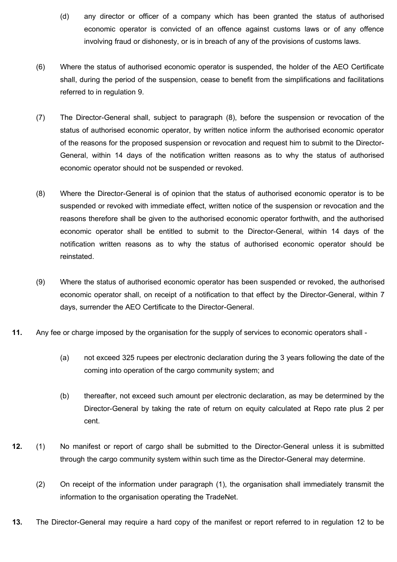- (d) any director or officer of a company which has been granted the status of authorised economic operator is convicted of an offence against customs laws or of any offence involving fraud or dishonesty, or is in breach of any of the provisions of customs laws.
- (6) Where the status of authorised economic operator is suspended, the holder of the AEO Certificate shall, during the period of the suspension, cease to benefit from the simplifications and facilitations referred to in regulation 9.
- (7) The Director-General shall, subject to paragraph (8), before the suspension or revocation of the status of authorised economic operator, by written notice inform the authorised economic operator of the reasons for the proposed suspension or revocation and request him to submit to the Director-General, within 14 days of the notification written reasons as to why the status of authorised economic operator should not be suspended or revoked.
- (8) Where the Director-General is of opinion that the status of authorised economic operator is to be suspended or revoked with immediate effect, written notice of the suspension or revocation and the reasons therefore shall be given to the authorised economic operator forthwith, and the authorised economic operator shall be entitled to submit to the Director-General, within 14 days of the notification written reasons as to why the status of authorised economic operator should be reinstated.
- (9) Where the status of authorised economic operator has been suspended or revoked, the authorised economic operator shall, on receipt of a notification to that effect by the Director-General, within 7 days, surrender the AEO Certificate to the Director-General.
- **11.** Any fee or charge imposed by the organisation for the supply of services to economic operators shall
	- (a) not exceed 325 rupees per electronic declaration during the 3 years following the date of the coming into operation of the cargo community system; and
	- (b) thereafter, not exceed such amount per electronic declaration, as may be determined by the Director-General by taking the rate of return on equity calculated at Repo rate plus 2 per cent.
- **12.** (1) No manifest or report of cargo shall be submitted to the Director-General unless it is submitted through the cargo community system within such time as the Director-General may determine.
	- (2) On receipt of the information under paragraph (1), the organisation shall immediately transmit the information to the organisation operating the TradeNet.
- **13.** The Director-General may require a hard copy of the manifest or report referred to in regulation 12 to be